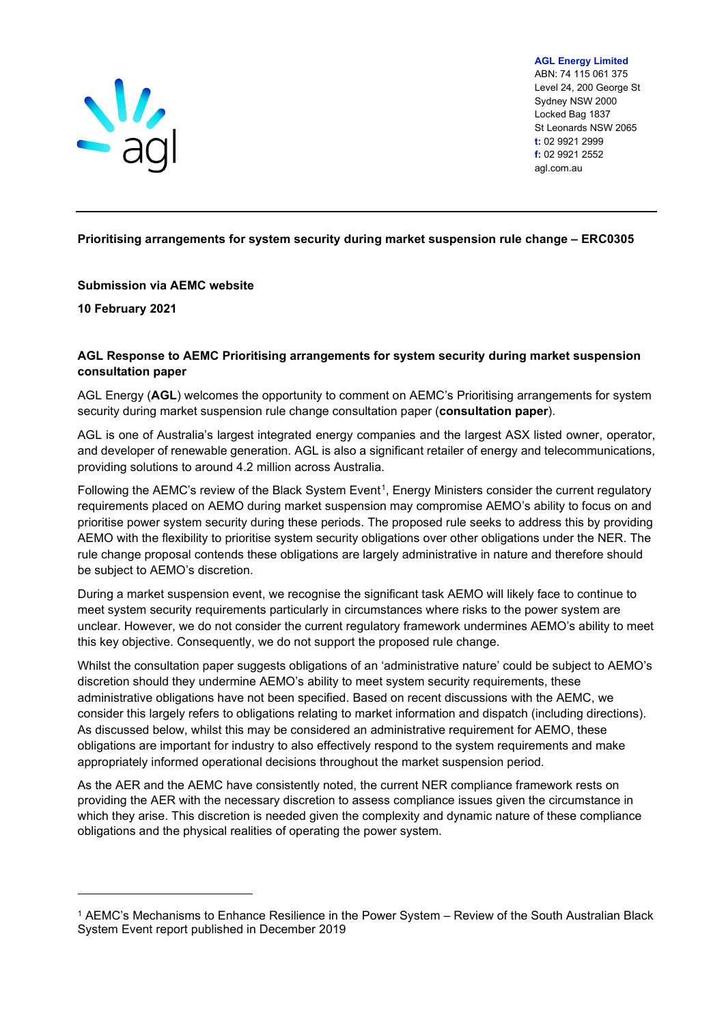

**AGL Energy Limited** ABN: 74 115 061 375 Level 24, 200 George St Sydney NSW 2000 Locked Bag 1837 St Leonards NSW 2065 **t:** 02 9921 2999 **f:** 02 9921 2552 agl.com.au

# **Prioritising arrangements for system security during market suspension rule change – ERC0305**

#### **Submission via AEMC website**

**10 February 2021**

## **AGL Response to AEMC Prioritising arrangements for system security during market suspension consultation paper**

AGL Energy (**AGL**) welcomes the opportunity to comment on AEMC's Prioritising arrangements for system security during market suspension rule change consultation paper (**consultation paper**).

AGL is one of Australia's largest integrated energy companies and the largest ASX listed owner, operator, and developer of renewable generation. AGL is also a significant retailer of energy and telecommunications, providing solutions to around 4.2 million across Australia.

Following the AEMC's review of the Black System Event<sup>[1](#page-0-0)</sup>, Energy Ministers consider the current regulatory requirements placed on AEMO during market suspension may compromise AEMO's ability to focus on and prioritise power system security during these periods. The proposed rule seeks to address this by providing AEMO with the flexibility to prioritise system security obligations over other obligations under the NER. The rule change proposal contends these obligations are largely administrative in nature and therefore should be subject to AEMO's discretion.

During a market suspension event, we recognise the significant task AEMO will likely face to continue to meet system security requirements particularly in circumstances where risks to the power system are unclear. However, we do not consider the current regulatory framework undermines AEMO's ability to meet this key objective. Consequently, we do not support the proposed rule change.

Whilst the consultation paper suggests obligations of an 'administrative nature' could be subject to AEMO's discretion should they undermine AEMO's ability to meet system security requirements, these administrative obligations have not been specified. Based on recent discussions with the AEMC, we consider this largely refers to obligations relating to market information and dispatch (including directions). As discussed below, whilst this may be considered an administrative requirement for AEMO, these obligations are important for industry to also effectively respond to the system requirements and make appropriately informed operational decisions throughout the market suspension period.

As the AER and the AEMC have consistently noted, the current NER compliance framework rests on providing the AER with the necessary discretion to assess compliance issues given the circumstance in which they arise. This discretion is needed given the complexity and dynamic nature of these compliance obligations and the physical realities of operating the power system.

<span id="page-0-0"></span><sup>1</sup> AEMC's Mechanisms to Enhance Resilience in the Power System – Review of the South Australian Black System Event report published in December 2019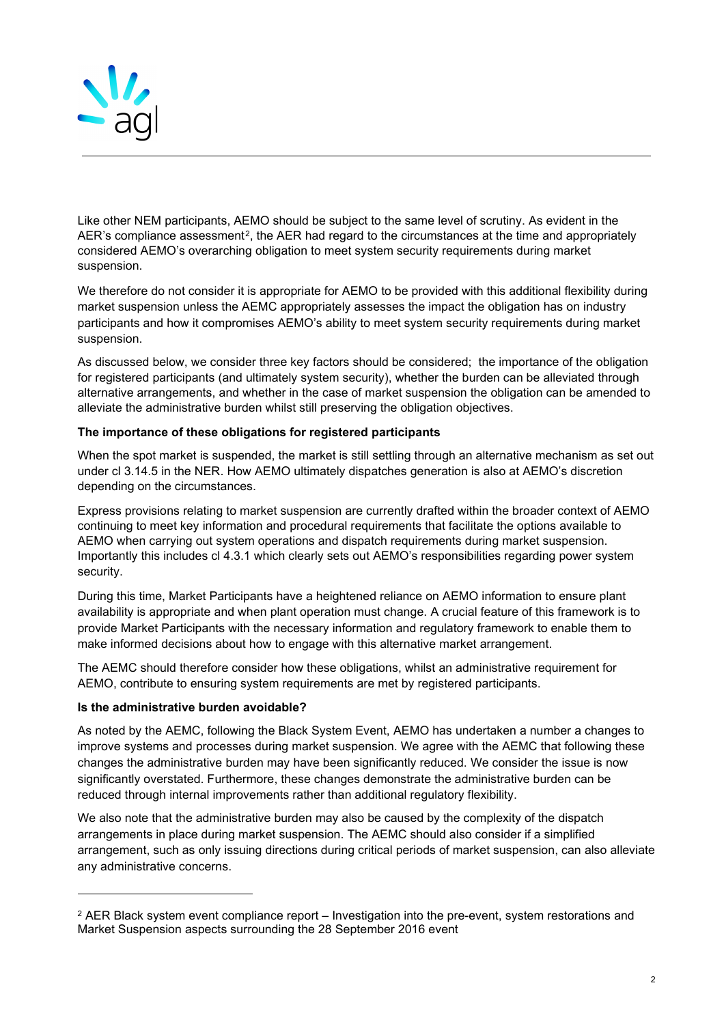

Like other NEM participants, AEMO should be subject to the same level of scrutiny. As evident in the AER's compliance assessment<sup>[2](#page-1-0)</sup>, the AER had regard to the circumstances at the time and appropriately considered AEMO's overarching obligation to meet system security requirements during market suspension.

We therefore do not consider it is appropriate for AEMO to be provided with this additional flexibility during market suspension unless the AEMC appropriately assesses the impact the obligation has on industry participants and how it compromises AEMO's ability to meet system security requirements during market suspension.

As discussed below, we consider three key factors should be considered; the importance of the obligation for registered participants (and ultimately system security), whether the burden can be alleviated through alternative arrangements, and whether in the case of market suspension the obligation can be amended to alleviate the administrative burden whilst still preserving the obligation objectives.

## **The importance of these obligations for registered participants**

When the spot market is suspended, the market is still settling through an alternative mechanism as set out under cl 3.14.5 in the NER. How AEMO ultimately dispatches generation is also at AEMO's discretion depending on the circumstances.

Express provisions relating to market suspension are currently drafted within the broader context of AEMO continuing to meet key information and procedural requirements that facilitate the options available to AEMO when carrying out system operations and dispatch requirements during market suspension. Importantly this includes cl 4.3.1 which clearly sets out AEMO's responsibilities regarding power system security.

During this time, Market Participants have a heightened reliance on AEMO information to ensure plant availability is appropriate and when plant operation must change. A crucial feature of this framework is to provide Market Participants with the necessary information and regulatory framework to enable them to make informed decisions about how to engage with this alternative market arrangement.

The AEMC should therefore consider how these obligations, whilst an administrative requirement for AEMO, contribute to ensuring system requirements are met by registered participants.

#### **Is the administrative burden avoidable?**

As noted by the AEMC, following the Black System Event, AEMO has undertaken a number a changes to improve systems and processes during market suspension. We agree with the AEMC that following these changes the administrative burden may have been significantly reduced. We consider the issue is now significantly overstated. Furthermore, these changes demonstrate the administrative burden can be reduced through internal improvements rather than additional regulatory flexibility.

We also note that the administrative burden may also be caused by the complexity of the dispatch arrangements in place during market suspension. The AEMC should also consider if a simplified arrangement, such as only issuing directions during critical periods of market suspension, can also alleviate any administrative concerns.

<span id="page-1-0"></span> $2$  AER Black system event compliance report – Investigation into the pre-event, system restorations and Market Suspension aspects surrounding the 28 September 2016 event